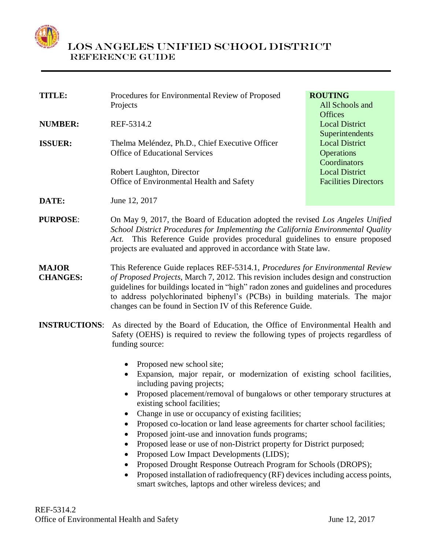

| <b>TITLE:</b>                   | Procedures for Environmental Review of Proposed<br>Projects                                                                                                                                                                                                                                                                                                                                                                                                                                                                                                                                                                                                 | <b>ROUTING</b><br>All Schools and                                                                                  |
|---------------------------------|-------------------------------------------------------------------------------------------------------------------------------------------------------------------------------------------------------------------------------------------------------------------------------------------------------------------------------------------------------------------------------------------------------------------------------------------------------------------------------------------------------------------------------------------------------------------------------------------------------------------------------------------------------------|--------------------------------------------------------------------------------------------------------------------|
| <b>NUMBER:</b>                  | REF-5314.2                                                                                                                                                                                                                                                                                                                                                                                                                                                                                                                                                                                                                                                  | <b>Offices</b><br><b>Local District</b><br>Superintendents                                                         |
| <b>ISSUER:</b>                  | Thelma Meléndez, Ph.D., Chief Executive Officer<br><b>Office of Educational Services</b><br>Robert Laughton, Director                                                                                                                                                                                                                                                                                                                                                                                                                                                                                                                                       | <b>Local District</b><br><b>Operations</b><br>Coordinators<br><b>Local District</b><br><b>Facilities Directors</b> |
| DATE:                           | Office of Environmental Health and Safety<br>June 12, 2017                                                                                                                                                                                                                                                                                                                                                                                                                                                                                                                                                                                                  |                                                                                                                    |
| <b>PURPOSE:</b>                 | On May 9, 2017, the Board of Education adopted the revised Los Angeles Unified<br>School District Procedures for Implementing the California Environmental Quality<br>This Reference Guide provides procedural guidelines to ensure proposed<br>Act.<br>projects are evaluated and approved in accordance with State law.                                                                                                                                                                                                                                                                                                                                   |                                                                                                                    |
| <b>MAJOR</b><br><b>CHANGES:</b> | This Reference Guide replaces REF-5314.1, Procedures for Environmental Review<br>of Proposed Projects, March 7, 2012. This revision includes design and construction<br>guidelines for buildings located in "high" radon zones and guidelines and procedures<br>to address polychlorinated biphenyl's (PCBs) in building materials. The major<br>changes can be found in Section IV of this Reference Guide.                                                                                                                                                                                                                                                |                                                                                                                    |
| <b>INSTRUCTIONS:</b>            | As directed by the Board of Education, the Office of Environmental Health and<br>Safety (OEHS) is required to review the following types of projects regardless of<br>funding source:                                                                                                                                                                                                                                                                                                                                                                                                                                                                       |                                                                                                                    |
|                                 | Proposed new school site;<br>$\bullet$<br>Expansion, major repair, or modernization of existing school facilities,<br>$\bullet$<br>including paving projects;<br>Proposed placement/removal of bungalows or other temporary structures at<br>existing school facilities;<br>Change in use or occupancy of existing facilities;<br>Proposed co-location or land lease agreements for charter school facilities;<br>Proposed joint-use and innovation funds programs;<br>Proposed lease or use of non-District property for District purposed;<br>Proposed Low Impact Developments (LIDS);<br>Proposed Drought Response Outreach Program for Schools (DROPS); |                                                                                                                    |

• Proposed installation of radiofrequency (RF) devices including access points, smart switches, laptops and other wireless devices; and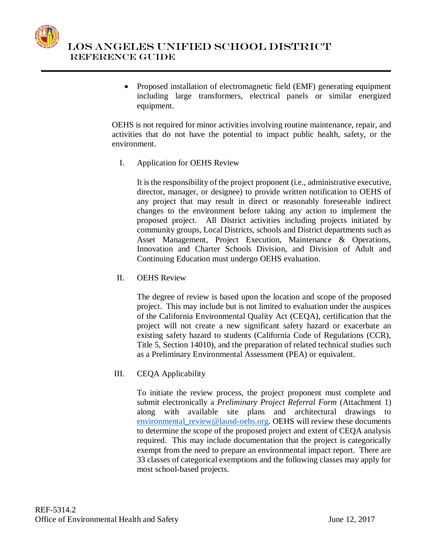

 Proposed installation of electromagnetic field (EMF) generating equipment including large transformers, electrical panels or similar energized equipment.

OEHS is not required for minor activities involving routine maintenance, repair, and activities that do not have the potential to impact public health, safety, or the environment.

I. Application for OEHS Review

It is the responsibility of the project proponent (i.e., administrative executive, director, manager, or designee) to provide written notification to OEHS of any project that may result in direct or reasonably foreseeable indirect changes to the environment before taking any action to implement the proposed project. All District activities including projects initiated by community groups, Local Districts, schools and District departments such as Asset Management, Project Execution, Maintenance & Operations, Innovation and Charter Schools Division, and Division of Adult and Continuing Education must undergo OEHS evaluation.

II. OEHS Review

The degree of review is based upon the location and scope of the proposed project. This may include but is not limited to evaluation under the auspices of the California Environmental Quality Act (CEQA), certification that the project will not create a new significant safety hazard or exacerbate an existing safety hazard to students (California Code of Regulations (CCR), Title 5, Section 14010), and the preparation of related technical studies such as a Preliminary Environmental Assessment (PEA) or equivalent.

III. CEQA Applicability

To initiate the review process, the project proponent must complete and submit electronically a *Preliminary Project Referral Form* (Attachment 1) along with available site plans and architectural drawings to [environmental\\_review@lausd-oehs.org.](mailto:environmental_review@lausd-oehs.org) OEHS will review these documents to determine the scope of the proposed project and extent of CEQA analysis required. This may include documentation that the project is categorically exempt from the need to prepare an environmental impact report. There are 33 classes of categorical exemptions and the following classes may apply for most school-based projects.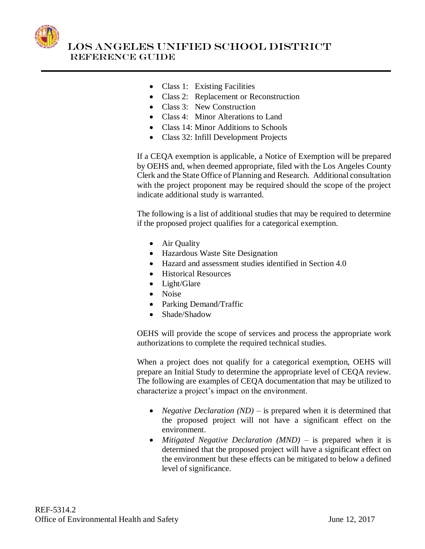

- Class 1: Existing Facilities
- Class 2: Replacement or Reconstruction
- Class 3: New Construction
- Class 4: Minor Alterations to Land
- Class 14: Minor Additions to Schools
- Class 32: Infill Development Projects

If a CEQA exemption is applicable, a Notice of Exemption will be prepared by OEHS and, when deemed appropriate, filed with the Los Angeles County Clerk and the State Office of Planning and Research. Additional consultation with the project proponent may be required should the scope of the project indicate additional study is warranted.

The following is a list of additional studies that may be required to determine if the proposed project qualifies for a categorical exemption.

- Air Quality
- Hazardous Waste Site Designation
- Hazard and assessment studies identified in Section 4.0
- Historical Resources
- Light/Glare
- Noise
- Parking Demand/Traffic
- Shade/Shadow

OEHS will provide the scope of services and process the appropriate work authorizations to complete the required technical studies.

When a project does not qualify for a categorical exemption, OEHS will prepare an Initial Study to determine the appropriate level of CEQA review. The following are examples of CEQA documentation that may be utilized to characterize a project's impact on the environment.

- *Negative Declaration (ND)* is prepared when it is determined that the proposed project will not have a significant effect on the environment.
- *Mitigated Negative Declaration (MND)* is prepared when it is determined that the proposed project will have a significant effect on the environment but these effects can be mitigated to below a defined level of significance.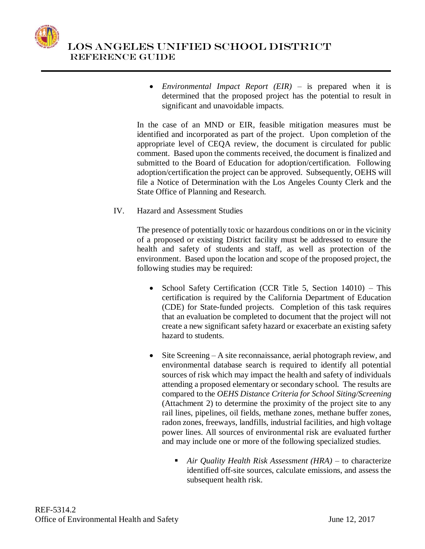

 *Environmental Impact Report (EIR)* – is prepared when it is determined that the proposed project has the potential to result in significant and unavoidable impacts.

In the case of an MND or EIR, feasible mitigation measures must be identified and incorporated as part of the project. Upon completion of the appropriate level of CEQA review, the document is circulated for public comment. Based upon the comments received, the document is finalized and submitted to the Board of Education for adoption/certification. Following adoption/certification the project can be approved. Subsequently, OEHS will file a Notice of Determination with the Los Angeles County Clerk and the State Office of Planning and Research.

IV. Hazard and Assessment Studies

The presence of potentially toxic or hazardous conditions on or in the vicinity of a proposed or existing District facility must be addressed to ensure the health and safety of students and staff, as well as protection of the environment. Based upon the location and scope of the proposed project, the following studies may be required:

- School Safety Certification (CCR Title 5, Section 14010) This certification is required by the California Department of Education (CDE) for State-funded projects. Completion of this task requires that an evaluation be completed to document that the project will not create a new significant safety hazard or exacerbate an existing safety hazard to students.
- Site Screening A site reconnaissance, aerial photograph review, and environmental database search is required to identify all potential sources of risk which may impact the health and safety of individuals attending a proposed elementary or secondary school. The results are compared to the *OEHS Distance Criteria for School Siting/Screening* (Attachment 2) to determine the proximity of the project site to any rail lines, pipelines, oil fields, methane zones, methane buffer zones, radon zones, freeways, landfills, industrial facilities, and high voltage power lines. All sources of environmental risk are evaluated further and may include one or more of the following specialized studies.
	- *Air Quality Health Risk Assessment (HRA)* to characterize identified off-site sources, calculate emissions, and assess the subsequent health risk.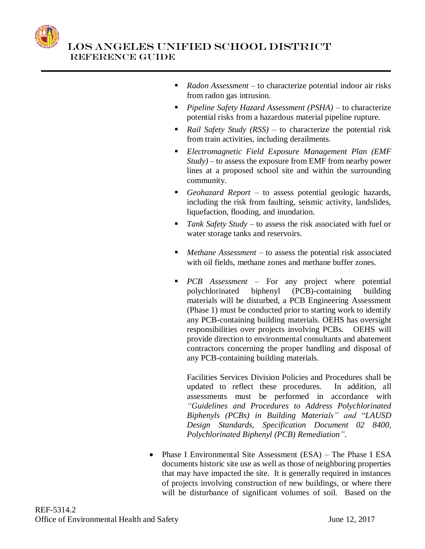

- *Radon Assessment*  to characterize potential indoor air risks from radon gas intrusion.
- *Pipeline Safety Hazard Assessment (PSHA)* to characterize potential risks from a hazardous material pipeline rupture.
- *Rail Safety Study (RSS)* to characterize the potential risk from train activities, including derailments.
- *Electromagnetic Field Exposure Management Plan (EMF Study)* – to assess the exposure from EMF from nearby power lines at a proposed school site and within the surrounding community.
- *Geohazard Report* to assess potential geologic hazards, including the risk from faulting, seismic activity, landslides, liquefaction, flooding, and inundation.
- *Tank Safety Study* to assess the risk associated with fuel or water storage tanks and reservoirs.
- *Methane Assessment* to assess the potential risk associated with oil fields, methane zones and methane buffer zones.
- *PCB Assessment* For any project where potential polychlorinated biphenyl (PCB)-containing building materials will be disturbed, a PCB Engineering Assessment (Phase 1) must be conducted prior to starting work to identify any PCB-containing building materials. OEHS has oversight responsibilities over projects involving PCBs. OEHS will provide direction to environmental consultants and abatement contractors concerning the proper handling and disposal of any PCB-containing building materials.

Facilities Services Division Policies and Procedures shall be updated to reflect these procedures. In addition, all assessments must be performed in accordance with *"Guidelines and Procedures to Address Polychlorinated Biphenyls (PCBs) in Building Materials" and* "*LAUSD Design Standards, Specification Document 02 8400, Polychlorinated Biphenyl (PCB) Remediation"*.

• Phase I Environmental Site Assessment (ESA) – The Phase I ESA documents historic site use as well as those of neighboring properties that may have impacted the site. It is generally required in instances of projects involving construction of new buildings, or where there will be disturbance of significant volumes of soil. Based on the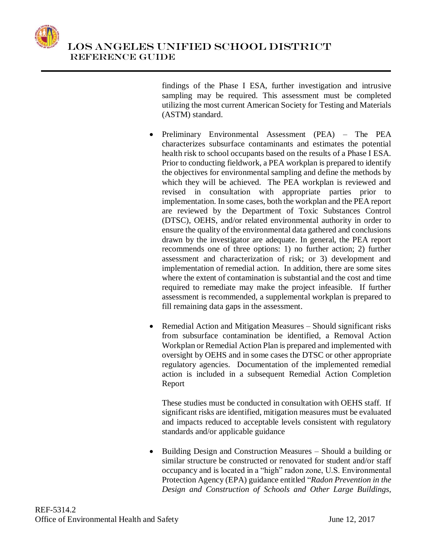

findings of the Phase I ESA, further investigation and intrusive sampling may be required. This assessment must be completed utilizing the most current American Society for Testing and Materials (ASTM) standard.

- Preliminary Environmental Assessment (PEA) The PEA characterizes subsurface contaminants and estimates the potential health risk to school occupants based on the results of a Phase I ESA. Prior to conducting fieldwork, a PEA workplan is prepared to identify the objectives for environmental sampling and define the methods by which they will be achieved. The PEA workplan is reviewed and revised in consultation with appropriate parties prior to implementation. In some cases, both the workplan and the PEA report are reviewed by the Department of Toxic Substances Control (DTSC), OEHS, and/or related environmental authority in order to ensure the quality of the environmental data gathered and conclusions drawn by the investigator are adequate. In general, the PEA report recommends one of three options: 1) no further action; 2) further assessment and characterization of risk; or 3) development and implementation of remedial action. In addition, there are some sites where the extent of contamination is substantial and the cost and time required to remediate may make the project infeasible. If further assessment is recommended, a supplemental workplan is prepared to fill remaining data gaps in the assessment.
- Remedial Action and Mitigation Measures Should significant risks from subsurface contamination be identified, a Removal Action Workplan or Remedial Action Plan is prepared and implemented with oversight by OEHS and in some cases the DTSC or other appropriate regulatory agencies. Documentation of the implemented remedial action is included in a subsequent Remedial Action Completion Report

These studies must be conducted in consultation with OEHS staff. If significant risks are identified, mitigation measures must be evaluated and impacts reduced to acceptable levels consistent with regulatory standards and/or applicable guidance

• Building Design and Construction Measures – Should a building or similar structure be constructed or renovated for student and/or staff occupancy and is located in a "high" radon zone, U.S. Environmental Protection Agency (EPA) guidance entitled "*Radon Prevention in the Design and Construction of Schools and Other Large Buildings,*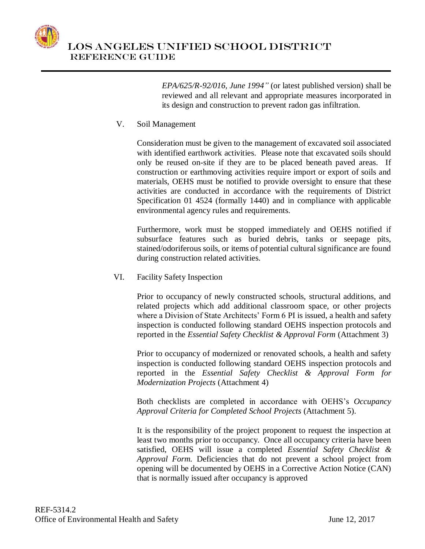

*EPA/625/R-92/016, June 1994"* (or latest published version) shall be reviewed and all relevant and appropriate measures incorporated in its design and construction to prevent radon gas infiltration.

## V. Soil Management

Consideration must be given to the management of excavated soil associated with identified earthwork activities. Please note that excavated soils should only be reused on-site if they are to be placed beneath paved areas. If construction or earthmoving activities require import or export of soils and materials, OEHS must be notified to provide oversight to ensure that these activities are conducted in accordance with the requirements of District Specification 01 4524 (formally 1440) and in compliance with applicable environmental agency rules and requirements.

Furthermore, work must be stopped immediately and OEHS notified if subsurface features such as buried debris, tanks or seepage pits, stained/odoriferous soils, or items of potential cultural significance are found during construction related activities.

VI. Facility Safety Inspection

Prior to occupancy of newly constructed schools, structural additions, and related projects which add additional classroom space, or other projects where a Division of State Architects' Form 6 PI is issued, a health and safety inspection is conducted following standard OEHS inspection protocols and reported in the *Essential Safety Checklist & Approval Form* (Attachment 3)

Prior to occupancy of modernized or renovated schools, a health and safety inspection is conducted following standard OEHS inspection protocols and reported in the *Essential Safety Checklist & Approval Form for Modernization Projects* (Attachment 4)

Both checklists are completed in accordance with OEHS's *Occupancy Approval Criteria for Completed School Projects* (Attachment 5).

It is the responsibility of the project proponent to request the inspection at least two months prior to occupancy. Once all occupancy criteria have been satisfied, OEHS will issue a completed *Essential Safety Checklist & Approval Form.* Deficiencies that do not prevent a school project from opening will be documented by OEHS in a Corrective Action Notice (CAN) that is normally issued after occupancy is approved